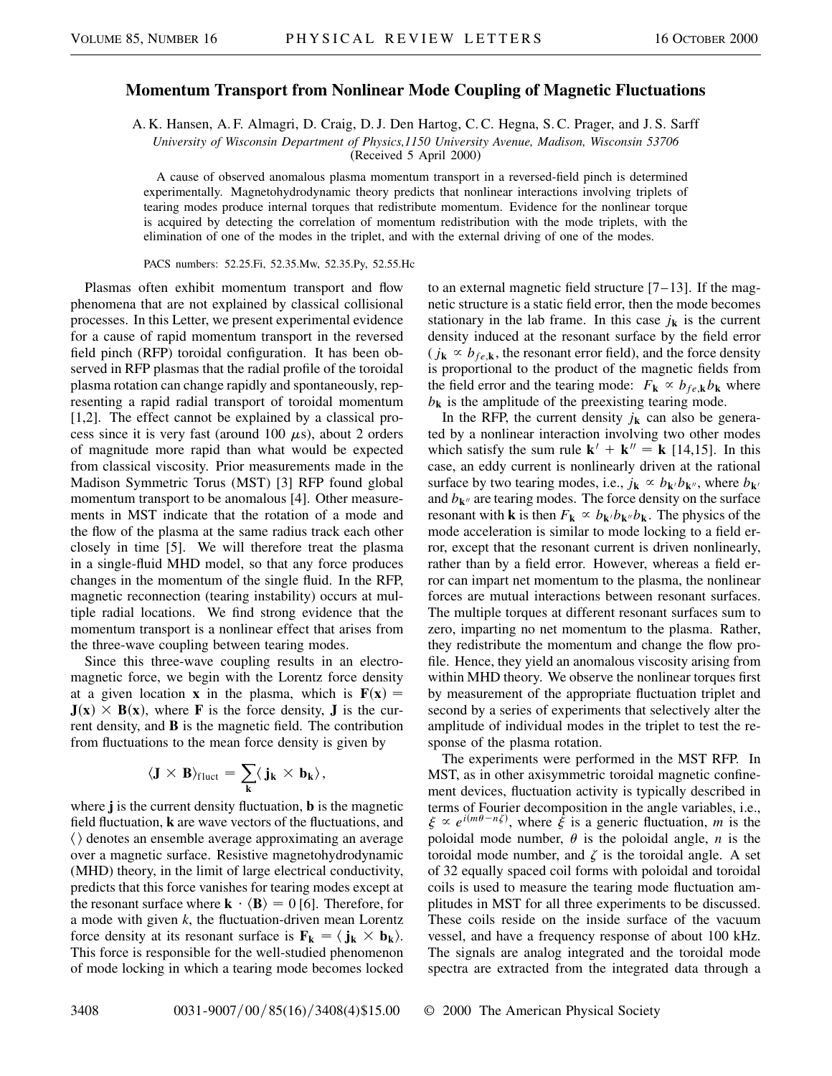## **Momentum Transport from Nonlinear Mode Coupling of Magnetic Fluctuations**

A. K. Hansen, A. F. Almagri, D. Craig, D. J. Den Hartog, C. C. Hegna, S. C. Prager, and J. S. Sarff

*University of Wisconsin Department of Physics,1150 University Avenue, Madison, Wisconsin 53706*

(Received 5 April 2000)

A cause of observed anomalous plasma momentum transport in a reversed-field pinch is determined experimentally. Magnetohydrodynamic theory predicts that nonlinear interactions involving triplets of tearing modes produce internal torques that redistribute momentum. Evidence for the nonlinear torque is acquired by detecting the correlation of momentum redistribution with the mode triplets, with the elimination of one of the modes in the triplet, and with the external driving of one of the modes.

PACS numbers: 52.25.Fi, 52.35.Mw, 52.35.Py, 52.55.Hc

Plasmas often exhibit momentum transport and flow phenomena that are not explained by classical collisional processes. In this Letter, we present experimental evidence for a cause of rapid momentum transport in the reversed field pinch (RFP) toroidal configuration. It has been observed in RFP plasmas that the radial profile of the toroidal plasma rotation can change rapidly and spontaneously, representing a rapid radial transport of toroidal momentum [1,2]. The effect cannot be explained by a classical process since it is very fast (around 100  $\mu$ s), about 2 orders of magnitude more rapid than what would be expected from classical viscosity. Prior measurements made in the Madison Symmetric Torus (MST) [3] RFP found global momentum transport to be anomalous [4]. Other measurements in MST indicate that the rotation of a mode and the flow of the plasma at the same radius track each other closely in time [5]. We will therefore treat the plasma in a single-fluid MHD model, so that any force produces changes in the momentum of the single fluid. In the RFP, magnetic reconnection (tearing instability) occurs at multiple radial locations. We find strong evidence that the momentum transport is a nonlinear effect that arises from the three-wave coupling between tearing modes.

Since this three-wave coupling results in an electromagnetic force, we begin with the Lorentz force density at a given location **x** in the plasma, which is  $F(x) =$  $J(x) \times B(x)$ , where **F** is the force density, **J** is the current density, and **B** is the magnetic field. The contribution from fluctuations to the mean force density is given by

$$
\langle J \times B \rangle_{fluct} = \sum_k \langle j_k \times b_k \rangle,
$$

where **j** is the current density fluctuation, **b** is the magnetic field fluctuation, **k** are wave vectors of the fluctuations, and  $\langle \rangle$  denotes an ensemble average approximating an average over a magnetic surface. Resistive magnetohydrodynamic (MHD) theory, in the limit of large electrical conductivity, predicts that this force vanishes for tearing modes except at the resonant surface where  $\mathbf{k} \cdot \langle \mathbf{B} \rangle = 0$  [6]. Therefore, for a mode with given *k*, the fluctuation-driven mean Lorentz force density at its resonant surface is  $\mathbf{F_k} = \langle \mathbf{j_k} \times \mathbf{b_k} \rangle$ . This force is responsible for the well-studied phenomenon of mode locking in which a tearing mode becomes locked to an external magnetic field structure  $[7-13]$ . If the magnetic structure is a static field error, then the mode becomes stationary in the lab frame. In this case  $j_k$  is the current density induced at the resonant surface by the field error  $(j_k \propto b_{fe,k})$ , the resonant error field), and the force density is proportional to the product of the magnetic fields from the field error and the tearing mode:  $F_k \propto b_{fe,k}b_k$  where  $b_{\bf k}$  is the amplitude of the preexisting tearing mode.

In the RFP, the current density  $j_k$  can also be generated by a nonlinear interaction involving two other modes which satisfy the sum rule  $\mathbf{k}^{\prime} + \mathbf{k}^{\prime\prime} = \mathbf{k}$  [14,15]. In this case, an eddy current is nonlinearly driven at the rational surface by two tearing modes, i.e.,  $j_k \propto b_{k/b}$ , where  $b_{k/b}$ and  $b_{\mathbf{k}^{\prime\prime}}$  are tearing modes. The force density on the surface resonant with **k** is then  $F_k \propto b_{k/b} b_{k}$ . The physics of the mode acceleration is similar to mode locking to a field error, except that the resonant current is driven nonlinearly, rather than by a field error. However, whereas a field error can impart net momentum to the plasma, the nonlinear forces are mutual interactions between resonant surfaces. The multiple torques at different resonant surfaces sum to zero, imparting no net momentum to the plasma. Rather, they redistribute the momentum and change the flow profile. Hence, they yield an anomalous viscosity arising from within MHD theory. We observe the nonlinear torques first by measurement of the appropriate fluctuation triplet and second by a series of experiments that selectively alter the amplitude of individual modes in the triplet to test the response of the plasma rotation.

The experiments were performed in the MST RFP. In MST, as in other axisymmetric toroidal magnetic confinement devices, fluctuation activity is typically described in terms of Fourier decomposition in the angle variables, i.e.,  $\xi \propto e^{i(m\theta - n\xi)}$ , where  $\dot{\xi}$  is a generic fluctuation, *m* is the poloidal mode number,  $\theta$  is the poloidal angle, *n* is the toroidal mode number, and  $\zeta$  is the toroidal angle. A set of 32 equally spaced coil forms with poloidal and toroidal coils is used to measure the tearing mode fluctuation amplitudes in MST for all three experiments to be discussed. These coils reside on the inside surface of the vacuum vessel, and have a frequency response of about 100 kHz. The signals are analog integrated and the toroidal mode spectra are extracted from the integrated data through a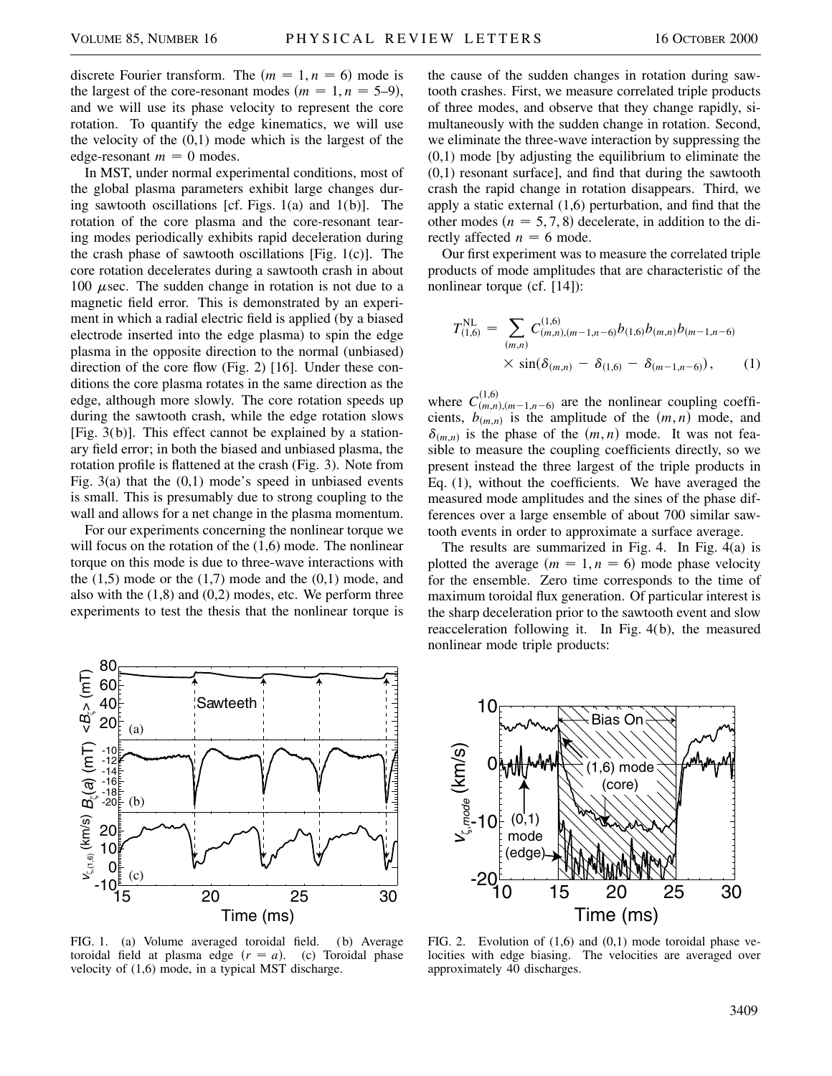discrete Fourier transform. The  $(m = 1, n = 6)$  mode is the largest of the core-resonant modes  $(m = 1, n = 5-9)$ , and we will use its phase velocity to represent the core rotation. To quantify the edge kinematics, we will use the velocity of the  $(0,1)$  mode which is the largest of the edge-resonant  $m = 0$  modes.

In MST, under normal experimental conditions, most of the global plasma parameters exhibit large changes during sawtooth oscillations [cf. Figs.  $1(a)$  and  $1(b)$ ]. The rotation of the core plasma and the core-resonant tearing modes periodically exhibits rapid deceleration during the crash phase of sawtooth oscillations [Fig. 1(c)]. The core rotation decelerates during a sawtooth crash in about 100  $\mu$ sec. The sudden change in rotation is not due to a magnetic field error. This is demonstrated by an experiment in which a radial electric field is applied (by a biased electrode inserted into the edge plasma) to spin the edge plasma in the opposite direction to the normal (unbiased) direction of the core flow (Fig. 2) [16]. Under these conditions the core plasma rotates in the same direction as the edge, although more slowly. The core rotation speeds up during the sawtooth crash, while the edge rotation slows [Fig. 3(b)]. This effect cannot be explained by a stationary field error; in both the biased and unbiased plasma, the rotation profile is flattened at the crash (Fig. 3). Note from Fig.  $3(a)$  that the  $(0,1)$  mode's speed in unbiased events is small. This is presumably due to strong coupling to the wall and allows for a net change in the plasma momentum.

For our experiments concerning the nonlinear torque we will focus on the rotation of the  $(1,6)$  mode. The nonlinear torque on this mode is due to three-wave interactions with the  $(1,5)$  mode or the  $(1,7)$  mode and the  $(0,1)$  mode, and also with the  $(1,8)$  and  $(0,2)$  modes, etc. We perform three experiments to test the thesis that the nonlinear torque is



FIG. 1. (a) Volume averaged toroidal field. (b) Average toroidal field at plasma edge  $(r = a)$ . (c) Toroidal phase velocity of (1,6) mode, in a typical MST discharge.

the cause of the sudden changes in rotation during sawtooth crashes. First, we measure correlated triple products of three modes, and observe that they change rapidly, simultaneously with the sudden change in rotation. Second, we eliminate the three-wave interaction by suppressing the (0,1) mode [by adjusting the equilibrium to eliminate the (0,1) resonant surface], and find that during the sawtooth crash the rapid change in rotation disappears. Third, we apply a static external (1,6) perturbation, and find that the other modes  $(n = 5, 7, 8)$  decelerate, in addition to the directly affected  $n = 6$  mode.

Our first experiment was to measure the correlated triple products of mode amplitudes that are characteristic of the nonlinear torque (cf. [14]):

$$
T_{(1,6)}^{\text{NL}} = \sum_{(m,n)} C_{(m,n),(m-1,n-6)}^{(1,6)} b_{(1,6)} b_{(m,n)} b_{(m-1,n-6)} \times \sin(\delta_{(m,n)} - \delta_{(1,6)} - \delta_{(m-1,n-6)}), \quad (1)
$$

where  $C_{(m,n),(m-1,n-6)}^{(1,6)}$  are the nonlinear coupling coefficients,  $b_{(m,n)}$  is the amplitude of the  $(m, n)$  mode, and  $\delta_{(m,n)}$  is the phase of the  $(m, n)$  mode. It was not feasible to measure the coupling coefficients directly, so we present instead the three largest of the triple products in Eq. (1), without the coefficients. We have averaged the measured mode amplitudes and the sines of the phase differences over a large ensemble of about 700 similar sawtooth events in order to approximate a surface average.

The results are summarized in Fig. 4. In Fig. 4(a) is plotted the average  $(m = 1, n = 6)$  mode phase velocity for the ensemble. Zero time corresponds to the time of maximum toroidal flux generation. Of particular interest is the sharp deceleration prior to the sawtooth event and slow reacceleration following it. In Fig. 4(b), the measured nonlinear mode triple products:



FIG. 2. Evolution of (1,6) and (0,1) mode toroidal phase velocities with edge biasing. The velocities are averaged over approximately 40 discharges.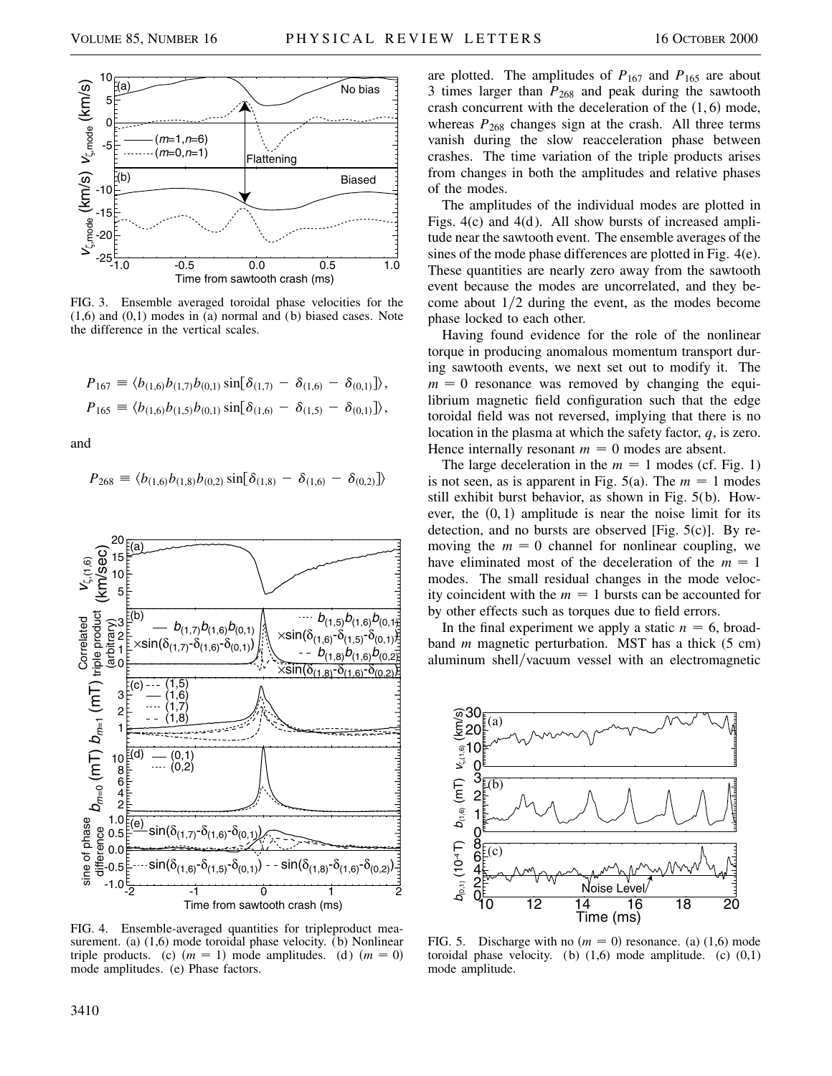

FIG. 3. Ensemble averaged toroidal phase velocities for the  $(1,6)$  and  $(0,1)$  modes in (a) normal and (b) biased cases. Note the difference in the vertical scales.

$$
P_{167} \equiv \langle b_{(1,6)} b_{(1,7)} b_{(0,1)} \sin[\delta_{(1,7)} - \delta_{(1,6)} - \delta_{(0,1)}] \rangle,
$$
  
\n
$$
P_{165} \equiv \langle b_{(1,6)} b_{(1,5)} b_{(0,1)} \sin[\delta_{(1,6)} - \delta_{(1,5)} - \delta_{(0,1)}] \rangle,
$$

and

$$
P_{268} \equiv \langle b_{(1,6)}b_{(1,8)}b_{(0,2)}\sin[\delta_{(1,8)}-\delta_{(1,6)}-\delta_{(0,2)}]\rangle
$$



FIG. 4. Ensemble-averaged quantities for tripleproduct measurement. (a) (1,6) mode toroidal phase velocity. (b) Nonlinear triple products. (c)  $(m = 1)$  mode amplitudes. (d)  $(m = 0)$ mode amplitudes. (e) Phase factors.

are plotted. The amplitudes of  $P_{167}$  and  $P_{165}$  are about 3 times larger than  $P_{268}$  and peak during the sawtooth crash concurrent with the deceleration of the  $(1, 6)$  mode, whereas  $P_{268}$  changes sign at the crash. All three terms vanish during the slow reacceleration phase between crashes. The time variation of the triple products arises from changes in both the amplitudes and relative phases of the modes.

The amplitudes of the individual modes are plotted in Figs. 4(c) and 4(d). All show bursts of increased amplitude near the sawtooth event. The ensemble averages of the sines of the mode phase differences are plotted in Fig. 4(e). These quantities are nearly zero away from the sawtooth event because the modes are uncorrelated, and they become about  $1/2$  during the event, as the modes become phase locked to each other.

Having found evidence for the role of the nonlinear torque in producing anomalous momentum transport during sawtooth events, we next set out to modify it. The  $m = 0$  resonance was removed by changing the equilibrium magnetic field configuration such that the edge toroidal field was not reversed, implying that there is no location in the plasma at which the safety factor, *q*, is zero. Hence internally resonant  $m = 0$  modes are absent.

The large deceleration in the  $m = 1$  modes (cf. Fig. 1) is not seen, as is apparent in Fig. 5(a). The  $m = 1$  modes still exhibit burst behavior, as shown in Fig. 5(b). However, the  $(0, 1)$  amplitude is near the noise limit for its detection, and no bursts are observed [Fig. 5(c)]. By removing the  $m = 0$  channel for nonlinear coupling, we have eliminated most of the deceleration of the  $m = 1$ modes. The small residual changes in the mode velocity coincident with the  $m = 1$  bursts can be accounted for by other effects such as torques due to field errors.

In the final experiment we apply a static  $n = 6$ , broadband *m* magnetic perturbation. MST has a thick (5 cm) aluminum shell/vacuum vessel with an electromagnetic



FIG. 5. Discharge with no  $(m = 0)$  resonance. (a) (1,6) mode toroidal phase velocity. (b)  $(1,6)$  mode amplitude. (c)  $(0,1)$ mode amplitude.